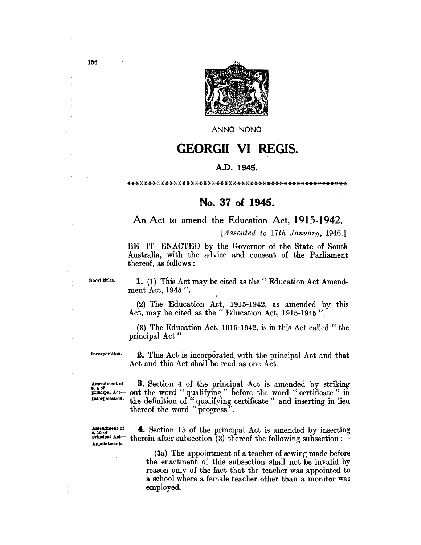

ANNO NONO

# **GEORGII VI REGIS.**

## A.D. 1945.

\*\*\*\*\*\*\*~~\*\*\*\*\*\*\*\*\*\*\*\*\*\*\*~.\*\*\*\*~.\*\*\*\*\*\*\*\*\*\*\*\*\*\*\*\*\*\*\*\*~~\*\*

# No. 37 of 1945.

An Act to amend the Education Act, 1915-1942.

*[Assented to 17th January, 1946.]* 

BE IT ENACTED by the Governor of the State of South Australia, with the advice and consent of the Parliament thereof, as follows:

Short titles. 1. (1) This Act may be cited as the" Education Act Amendment Act, 1945 ".

> (2) The Education Act, 1915-1942, as amended by this Act, may be cited as the" Education Act, 1915-1945".

> (3) The Education Act, 1915-1942, is in this Act called" the principal Act".

Incorporation. 2. This Act is incorporated. with the principal Act and that Act and this Act shall be read as one Act.

 $\text{A}_{\bullet}$   $\text{A}_{\bullet}$  of the principal Act is amended by striking principal Act- out the word " qualifying" before the word " certificate" in Interpretation. the definition of " qualifying certificate" and inserting in lieu thereof the word "progress".

Appointments.

**Amendment of** 4. Section 15 of the principal Act is amended by inserting  $\mathbf{r}^{\text{16 of}}$  of the principal Act is amended by inserting principal Act  $\mathbf{r}$  thereof the following subsection : therein after subsection  $\overline{3}$  thereof the following subsection:-

> (3a) The appointment of a teacher of sewing made before the enactment of this subsection shall not be invalid by reason only of the fact that the teacher was appointed to a school where a female teacher other than a monitor was employed,

156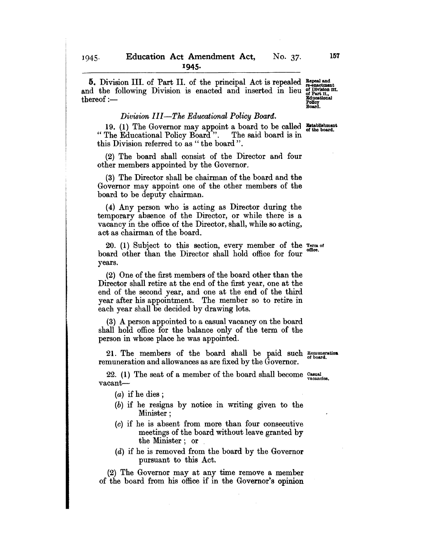**5.** Division III. of Part II. of the principal Act is repealed  $_{\text{re-encitment}}^{\text{Repeal and}}$ and the following Division is enacted and inserted in lieu of Division  $m$ . thereof:——

#### *Division III-The Ed'ucational Policy Board.*

19. (1) The Governor may appoint a board to be called Establishment<br>The Educational Policy Board". The said board is in " The Educational Policy Board". this Division referred to as " the board".

(2) The board shall consist of the Director and four other members appointed by the Governor.

(3) The Director shall be chairman of the board and the Governor may appoint one of the other members of the board to be deputy chairman.

(4) Any person who is acting as Director during the temporary absence of the Director, or while there is a vacancy in the office of the Director, shall, while so acting, act as chairman of the board.

20. (1) Subject to this section, every member of the Term of board other than the Director shall hold office for four years.

(2) One of the first members of the board other than the Director shall retire at the end of the first year, one at the end of the second year, and one at the end of the third year after his appointment. The member so to retire in each year shall be decided by drawing lots.

(3) A person appointed to a casual vacancy on the board shall hold office for the balance only of the term of the person in whose place he was appointed.

21. The members of the board shall be paid such  $R_{\text{em} \text{un} \text{en} \text{in}}$ remuneration and allowances as are fixed by the Governor.

22. (1) The seat of a member of the board shall become  $_{\text{vacancies}}^{$  Casual vacant--

 $(a)$  if he dies;

- (b) if he resigns by notice in writing given to the Minister;
- (0) if he is absent from more than four consecutive meetings of the board without leave granted by the Minister; or
- (d) if he is removed from the board by the Governor pursuant to this Act.

(2) The Governor may at any time remove a member of the board from his office if in the Governor's opinion

Policy<br>Board.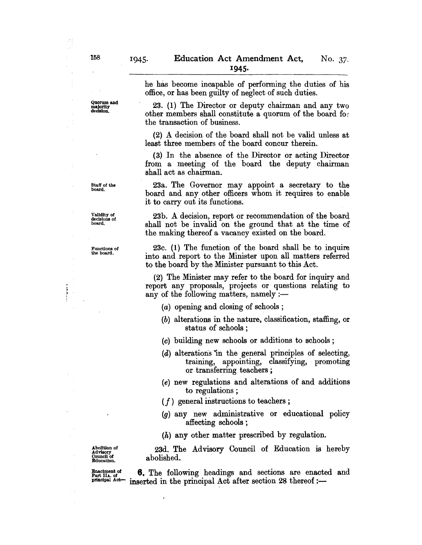he has become incapable of performing the duties of his

Quorum and majority decision.

office, or has been guilty of neglect of such duties. 23. (1) The Director or deputy chairman and any two other members shall constitute a quorum of the board for

the transaction of business.

(2) A decision of the board shall not be valid unless at least three members of the board concur therein.

(3) In the absence of the Director or acting Director from a meeting of the board the deputy chairman shall act as chairman.

23a. The Governor may appoint a secretary to the board and any other officers whom it requires to enable it to carry out its functions.

23b. A decision, report or recommendation of the board shall not be invalid on the ground that at the time of the making thereof a vacancy existed on the board.

23c. (1) The function of the board shall be to inquire into and report to the Minister upon all matters referred to the board by the Minister pursuant to this Act.

(2) The Minister may refer to the board for inquiry and report any proposals, projects or questions relating to any of the following matters, namely  $:$ 

- (a) opening and closing of schools ;
- (b) alterations in the nature, classification, staffing, or status of schools ;
- (c) building new schools or additions to schools;
- (d) alterations "in the general principles of selecting, training, appointing, classifying, promoting or transferring teachers ;
- (e) new regulations and alterations of and additions to regulations;
- *(f)* general mstructions to teachers ;
- (g) any new administrative or educational policy affecting schools ;

(h) any other matter prescribed by regulation.

Abolltion of Advisory Council of **Education** 

23d. The Advisory Council of Education is hereby abolished.

 $\frac{\text{Fnactment of}}{\text{Partical.} \text{Set}}$  **6.** The following headings and sections are enacted and  $\frac{\text{Fnactinal of}}{\text{Inticial.} \text{Set}}$  inserted in the principal Act after section 28 thereof  $\cdot$ inserted in the principal Act after section 28 thereof :-

Staff of the board.

Validity of decisions of board.

Functions of the board.

 $\frac{1}{2}$ 

A Ú,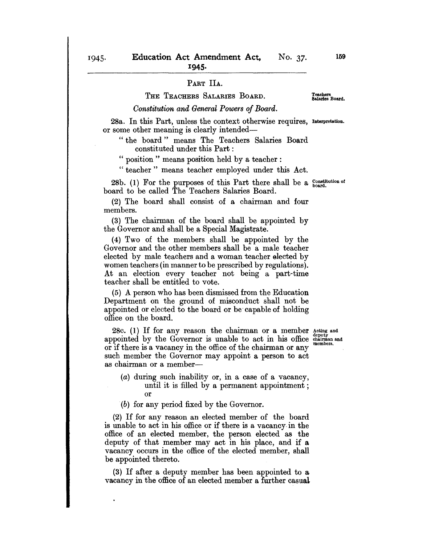### PART IIA.

## THE TEACHERS SALARIES BOARD.

## Teachers Salaries Board.

*Constitution and General Powers of Board.* 

28a. In this Part, unless the context otherwise requires, Interpretation. or some other meaning is clearly intended-

"the board" means The Teachers Salaries Board constituted under this Part :

" position" means position held by a teacher:

" teacher" means teacher employed under this Act.

28b. (1) For the purposes of this Part there shall be a  $_{\text{board}}^{\text{Constitution of}}$ board to be called The Teachers Salaries Board.

(2) The board shall consist of a chairman and four members.

(3) The chairman of the board shall be appointed by the Governor and shall be a Special Magistrate.

(4) Two of the members shall be appointed by the Governor and the other members shall be a male teacher elected by male teachers and a woman teacher elected by women teachers (in manner to be prescribed by regulations). At an election every teacher not being a part-time teacher shall be entitled to vote.

(5) A person who has been dismissed from the Education Department on the ground of misconduct shall not be appointed or elected to the board or be- capable of holding office on the board.

28 $c.$  (1) If for any reason the chairman or a member  $_{\text{density}}^{A}\text{ and}$ appointed by the Governor is unable to act in his office chairman and or if there is a vacancy in the office of the chairman or any such member the Governor may appoint a person to act as chairman or a member-

(a) during such inability or, in a case of a vacancy, until it is filled by a permanent appointment; or

(b) for any period fixed by the Governor.

(2) If for any reason an elected member of the board is unable to act in his office or if there is a vacancy- in the office of an elected member, the person elected as the deputy of that member may act in his place, and if a vacancy occurs in the office of the elected member, shall be appointed thereto.

(3) If after a deputy member has been appointed to a vacancy in the office of an elected member a further casual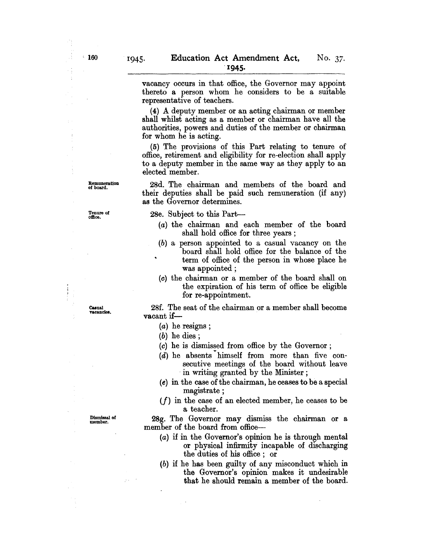vacancy occurs in that office, the Governor may appoint thereto a person whom he considers to be a suitable representative of teachers.

(4) A deputy member or an acting chairman or member shall whilst acting as a member or chairman have all the authorities, powers and duties of the member or chairman for whom he is acting.

(5) The provisions of this Part relating to tenure of office, retirement and eligibility for re-election shall apply to a deputy member in the same way as they apply to an elected member.

28d. The chairman and members of the board and their deputies shall be paid such remuneration (if any) as the Governor determines.

28e. SUbject to this Part-

- (a) the chairman and each member of the board shall hold office for three years ;
- (b) a person appointed to a casual vacancy on the board shall hold office for the balance of the term of office of the person in whose place he was appointed;
- (0) the chairman or a member of the board shall on the expiration of his term of office be eligible for re-appointment.

28f. The seat of the chairman or a member shall become vacant if-

- (a) he resigns ;
- (b) he dies;
- (0) he is dismissed from office by the Governor;
- $(d)$  he absents himself from more than five consecutive meetings of the board without leave in writing granted by the Minister ;
- (e) in the case of the chairman, he ceases to be a special magistrate ;
- $(f)$  in the case of an elected member, he ceases to be a teacher.

28g. The Governor may dismiss the chairman or a member of the board from office-

- (a) if in the Governor's opinion he is through mental or physical infirmity incapable of discharging the duties of his office; or
- (b) if he has been guilty of any misconduct which in the Governor's opinion makes it undesirable that he should remain a member of the board.

vacancies<br>vacancies

Dismissal of member.

y.

Casnal

Remuneration of board.

Tenure of oftlce.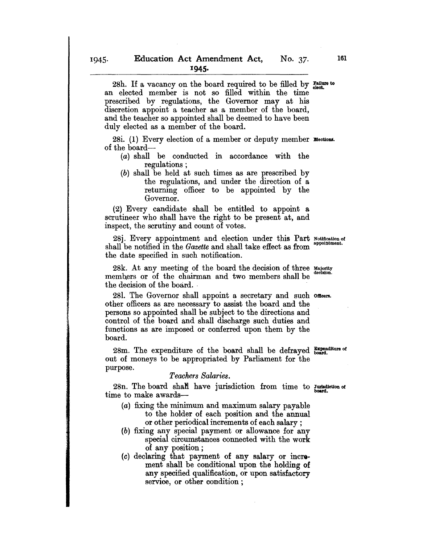28h. If a vacancy on the board required to be filled by  $\frac{F \text{ failure to}}{right}$ an elected member is not so filled within the time prescribed by regulations, the Governor may at his discretion appoint a teacher as a member of the board, and the teacher so appointed shall be deemed to have been duly elected as a member of the board.

28i. (1) Every election of a member or deputy member  $\mathbb{E}$  ections. of the board-

- (a) shall be conducted in accordance with the regulations;
- (b) shall be held at such times as are prescribed by the regulations, and under the direction of a returning officer to be appointed by the Governor.

(2) Every candidate shall be entitled to appoint a scrutineer who shall have the right to be present at, and inspect, the scrutiny and count of votes.

28j. Every appointment and election under this Part Notification of shall be notified in the *Gazette* and shall take effect as from the date specified in such notification.

28k. At any meeting of the board the decision of three Majority members or of the chairman and two members shall be the decision of the board. .

281. The Governor shall appoint a secretary and such oncers. other officers as are necessary to assist the board and the persons so appointed shall be subject to the directions and control of the board and shall discharge such duties and functions as are imposed or conferred upon them by the board.

 $28m$ . The expenditure of the board shall be defrayed  $\frac{Example}{bound}$ . out of moneys to be appropriated by Parliament for the purpose.

#### *Teachers Salaries.*

28n. The board shaN have jurisdiction from time to Jurladlctlon of time to make awards-

- (a) fixing the minimum and maximum salary payable to the holder of each position and the annual or other periodical increments of each salary ;
- (b) fixing any special payment or allowance for any special circumstances connected with the work of any position;
- (0) declaring that payment of any salary or increment shall be conditional upon the holding of any specified qualification, or upon satisfactory service, or other condition;

161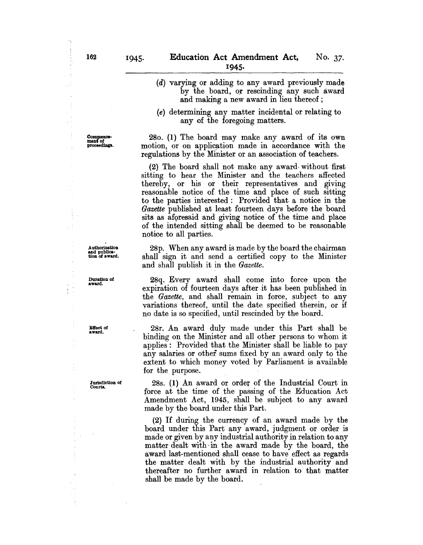Commence-<br>ment of proceedings.

- (d) varying or adding to any award previously made by the board, or rescinding any such award and making a new award in lieu thereof;
- (e) determining any matter incidental or relating to any of the foregoing matters.

280. (1) The board may make any award of its own motion, or on application made in accordance with the regulations by the Minister or an association of teachers.

(2) The board shall not make any award· without first sitting to hear the Minister and the teachers affected thereby, or his or their representatives and giving reasonable notice of the time and place of such sitting to the parties interested: Provided that a notice in the *Gazette* published at least fourteen days before the board sits as aforesaid and giving notice of the time and place of the intended sitting shall be deemed to be reasonable notice to all parties.

28p. When any award is made by the board the chairman shall sign it and send a certified copy to the Minister and shall publish it in the *Gazette.* 

28q. Every award shall come into force upon the expiration of fourteen days after it has been published in the *Gazette,* and shall remain in force, subject to any variations thereof, until the date specified therein, or if no date is so specified, until rescinded by the board.

28r. An award duly made under this Part shall be binding on the Minister and all other persons to whom it applies: Provided that the Minister shall be liable to pay any salaries or other sums fixed by an award only to the extent to which money voted by Parliament is available for the purpose.

28s. (1) An award or order of the Industrial Court in force at the time of the passing of the Education Act Amendment Act, 1945, shall be subject to any award made by the board under this Part.

(2) If during the currency of an award made by the board under this Part any award, judgment or order is made or given by any industrial authority in relation to any matter dealt with in the award made by the board, the award last-mentioned shall cease to have effect as regards the matter dealt with by the industrial authority and thereafter no further award in relation to that matter shall be made by the board.

Authorization and publica· tion of award.

Duration of award.

 $\bar{z}$ ŧ

> Effect of award.

Jurisdiction of Courts.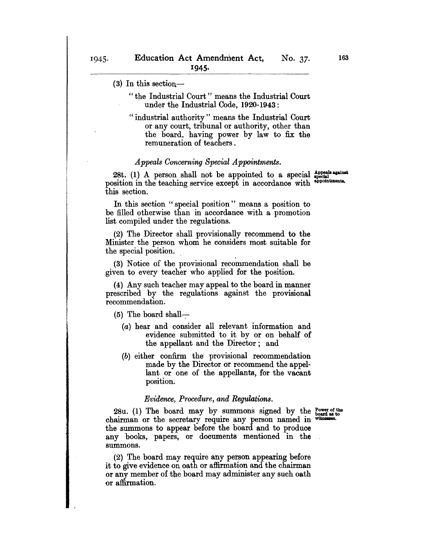- "the Industrial Court" means the Industrial Court under the Industrial Code, 1920-1943:
- " industrial authority" means the Industrial Court or any court, tribunal or authority, other than the board, having power by law to fix the remuneration of teachers.

## *Appeals Concerning Special Appointments.*

28t. (1) A person shall not be appointed to a special  $_{\text{special}}^{\text{Appoals against}}$ position in the teaching service except in accordance with this section.

In this section "special position" means a position to be filled otherwise than in accordance with a promotion list compiled under the regulations.

(2) The Director shall provisionally recommend to the Minister the person whom he considers most suitable for the special position.

(3) Notice of the provisional recommendation shall be given to every teacher who applied for the position.

(4) Any such teacher may appeal to the board in manner prescribed by the regulations against the provisional recommendation.

 $(5)$  The board shall-

- (a) hear and consider all relevant information and evidence submitted to it by or on behalf of the appellant and the Director; and
- (b) either confirm the' provisional recommendation made by the Director or recommend the appellant or one of the appellants, for the vacant position.

#### *Evidence, Procedure, and Regulations.*

 $28u.$  (1) The board may by summons signed by the  $_{\text{board as to}}^{ \text{Power of the}}$ chairman or the secretary require any person named in the summons to appear before the board and to produce any books, papers, or documents mentioned in the summons.

(2) The board may require any person appearing before it to give evidence on oath or affirmation and the chairman or any member of the board may administer any such oath or affirmation.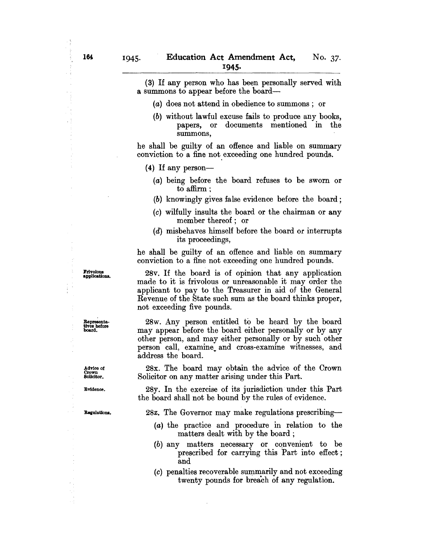(3) If any person who has been personally served with a summons to appear before the board-

- (a) does not attend in obedience to summons; or
- (b) without lawful excuse fails to produce any books, papers, or documents mentioned in the summons,

he shall be guilty of an offence and liable on summary conviction to a fine not exceeding one hundred pounds.

(4) If any person-

- (a) being before the board refuses to be sworn or to affirm;
- (b) knowingly gives false evidence before the board;
- (c) wilfully insults the board or the chairman or any member thereof; or
- (d) misbehaves himself before the board or interrupts its proceedings,

he shall be guilty of an offence and liable on summary conviction to a fine not exceeding one hundred pounds.

28v. If the board is of opinion that any application made to it is frivolous or unreasonable it may order the applicant to pay to the Treasurer in aid of the General Revenue of the State such sum as the board thinks proper, not exceeding five pounds.

28w. Any person entitled to be heard by the board may appear before the board either personally or by any other person, and may either personally or by such other person call, examine. and cross-examine witnesses, and address the board.

28x. The board may obtain the advice of the Crown Solicitor on any matter arising under this Part.

28y. In the exercise of its jurisdiction under this Part the board shall not be bound by the rules of evidence.

28z. The Governor may make regulations prescribing-

- (a) the practice and procedure in relation to the matters dealt with by the board;
- $(b)$  any matters necessary or convenient to be prescribed for carrying this Part into effect; and
- $(c)$  penalties recoverable summarily and not exceeding twenty pounds for breach of any regulation.

Frivolous applications.

Representa-tives before board.

Advice 01 Crown Solicitor.

Evidence.

Regulations.